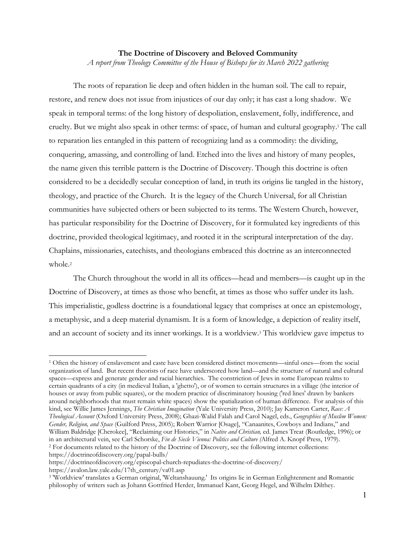## **The Doctrine of Discovery and Beloved Community**  *A report from Theology Committee of the House of Bishops for its March 2022 gathering*

The roots of reparation lie deep and often hidden in the human soil. The call to repair, restore, and renew does not issue from injustices of our day only; it has cast a long shadow. We speak in temporal terms: of the long history of despoliation, enslavement, folly, indifference, and cruelty. But we might also speak in other terms: of space, of human and cultural geography.1 The call to reparation lies entangled in this pattern of recognizing land as a commodity: the dividing, conquering, amassing, and controlling of land. Etched into the lives and history of many peoples, the name given this terrible pattern is the Doctrine of Discovery. Though this doctrine is often considered to be a decidedly secular conception of land, in truth its origins lie tangled in the history, theology, and practice of the Church. It is the legacy of the Church Universal, for all Christian communities have subjected others or been subjected to its terms. The Western Church, however, has particular responsibility for the Doctrine of Discovery, for it formulated key ingredients of this doctrine, provided theological legitimacy, and rooted it in the scriptural interpretation of the day. Chaplains, missionaries, catechists, and theologians embraced this doctrine as an interconnected whole.<sup>2</sup>

The Church throughout the world in all its offices—head and members—is caught up in the Doctrine of Discovery, at times as those who benefit, at times as those who suffer under its lash. This imperialistic, godless doctrine is a foundational legacy that comprises at once an epistemology, a metaphysic, and a deep material dynamism. It is a form of knowledge, a depiction of reality itself, and an account of society and its inner workings. It is a worldview.3 This worldview gave impetus to

<sup>1</sup> Often the history of enslavement and caste have been considered distinct movements—sinful ones—from the social organization of land. But recent theorists of race have underscored how land—and the structure of natural and cultural spaces—express and generate gender and racial hierarchies. The constriction of Jews in some European realms to certain quadrants of a city (in medieval Italian, a 'ghetto'), or of women to certain structures in a village (the interior of houses or away from public squares), or the modern practice of discriminatory housing ('red lines' drawn by bankers around neighborhoods that must remain white spaces) show the spatialization of human difference. For analysis of this kind, see Willie James Jennings, *The Christian Imagination* (Yale University Press, 2010); Jay Kameron Carter, *Race: A Theological Account* (Oxford University Press, 2008); Ghazi-Walid Falah and Carol Nagel, eds., *Geographies of Muslim Women: Gender, Religion, and Space* (Guilford Press, 2005); Robert Warrior [Osage], "Canaanites, Cowboys and Indians," and William Baldridge [Cherokee], "Reclaiming our Histories," in *Native and Christian,* ed. James Treat (Routledge, 1996); or in an architectural vein, see Carl Schorske, Fin de Siecle Vienna: Politics and Culture (Alfred A. Knopf Press, 1979).<br><sup>2</sup> For documents related to the history of the Doctrine of Discovery, see the following internet colle https://doctrineofdiscovery.org/papal-bulls/

https://doctrineofdiscovery.org/episcopal-church-repudiates-the-doctrine-of-discovery/ https://avalon.law.yale.edu/17th\_century/va01.asp

<sup>3 &#</sup>x27;Worldview' translates a German original, 'Weltanshauung.' Its origins lie in German Enlightenment and Romantic philosophy of writers such as Johann Gottfried Herder, Immanuel Kant, Georg Hegel, and Wilhelm Dilthey.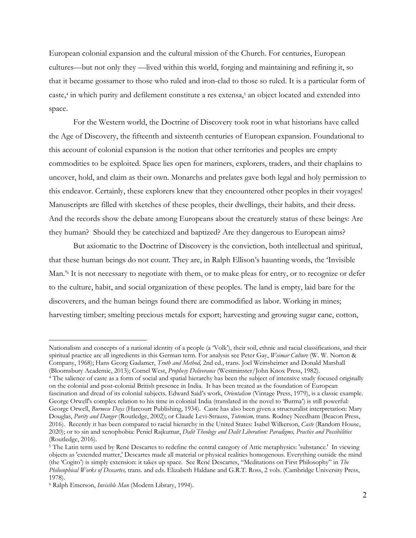European colonial expansion and the cultural mission of the Church. For centuries, European cultures—but not only they —lived within this world, forging and maintaining and refining it, so that it became gossamer to those who ruled and iron-clad to those so ruled. It is a particular form of caste,4 in which purity and defilement constitute a res extensa,5 an object located and extended into space.

For the Western world, the Doctrine of Discovery took root in what historians have called the Age of Discovery, the fifteenth and sixteenth centuries of European expansion. Foundational to this account of colonial expansion is the notion that other territories and peoples are empty commodities to be exploited. Space lies open for mariners, explorers, traders, and their chaplains to uncover, hold, and claim as their own. Monarchs and prelates gave both legal and holy permission to this endeavor. Certainly, these explorers knew that they encountered other peoples in their voyages! Manuscripts are filled with sketches of these peoples, their dwellings, their habits, and their dress. And the records show the debate among Europeans about the creaturely status of these beings: Are they human? Should they be catechized and baptized? Are they dangerous to European aims?

But axiomatic to the Doctrine of Discovery is the conviction, both intellectual and spiritual, that these human beings do not count. They are, in Ralph Ellison's haunting words, the 'Invisible Man.<sup>76</sup> It is not necessary to negotiate with them, or to make pleas for entry, or to recognize or defer to the culture, habit, and social organization of these peoples. The land is empty, laid bare for the discoverers, and the human beings found there are commodified as labor. Working in mines; harvesting timber; smelting precious metals for export; harvesting and growing sugar cane, cotton,

Nationalism and concepts of a national identity of a people (a 'Volk'), their soil, ethnic and racial classifications, and their spiritual practice are all ingredients in this German term. For analysis see Peter Gay, *Weimar Culture* (W. W. Norton & Company, 1968); Hans Georg Gadamer, *Truth and Method,* 2nd ed., trans. Joel Weinsheimer and Donald Marshall

<sup>(</sup>Bloomsbury Academic, 2013); Cornel West, *Prophesy Deliverance* (Westminster/John Knox Press, 1982).<br><sup>4</sup> The salience of caste as a form of social and spatial hierarchy has been the subject of intensive study focused orig on the colonial and post-colonial British presence in India. It has been treated as the foundation of European fascination and dread of its colonial subjects. Edward Said's work, *Orientalism* (Vintage Press, 1979), is a classic example. George Orwell's complex relation to his time in colonial India (translated in the novel to 'Burma') is still powerful: George Orwell, *Burmese Days* (Harcourt Publishing, 1934). Caste has also been given a structuralist interpretation: Mary Douglas, *Purity and Danger* (Routledge, 2002); or Claude Levi-Strauss, *Totemism,* trans. Rodney Needham (Beacon Press, 2016). Recently it has been compared to racial hierarchy in the United States: Isabel Wilkerson, *Caste* (Random House, 2020); or to sin and xenophobia: Peniel Rajkumar, *Dalit Theology and Dalit Liberation: Paradigms, Practice and Possibilities* (Routledge, 2016).

<sup>5</sup> The Latin term used by René Descartes to redefine the central category of Attic metaphysics: 'substance.' In viewing objects as 'extended matter,' Descartes made all material or physical realities homogenous. Everything outside the mind (the 'Cogito') is simply extension: it takes up space. See René Descartes, "Meditations on First Philosophy" in *The Philosophical Works of Descartes,* trans. and eds. Elizabeth Haldane and G.R.T. Ross, 2 vols. (Cambridge University Press, 1978).

<sup>6</sup> Ralph Emerson, *Invisible Man* (Modern Library, 1994).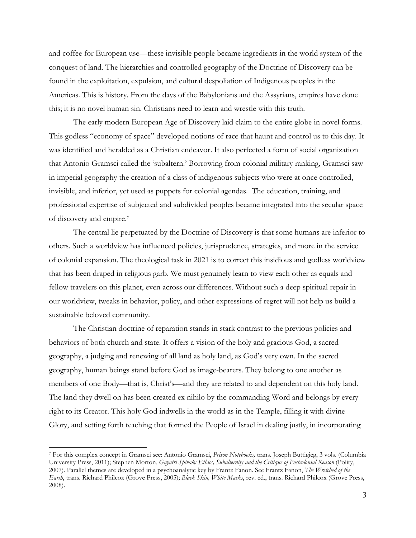and coffee for European use—these invisible people became ingredients in the world system of the conquest of land. The hierarchies and controlled geography of the Doctrine of Discovery can be found in the exploitation, expulsion, and cultural despoliation of Indigenous peoples in the Americas. This is history. From the days of the Babylonians and the Assyrians, empires have done this; it is no novel human sin. Christians need to learn and wrestle with this truth.

The early modern European Age of Discovery laid claim to the entire globe in novel forms. This godless "economy of space" developed notions of race that haunt and control us to this day. It was identified and heralded as a Christian endeavor. It also perfected a form of social organization that Antonio Gramsci called the 'subaltern.' Borrowing from colonial military ranking, Gramsci saw in imperial geography the creation of a class of indigenous subjects who were at once controlled, invisible, and inferior, yet used as puppets for colonial agendas. The education, training, and professional expertise of subjected and subdivided peoples became integrated into the secular space of discovery and empire.7

The central lie perpetuated by the Doctrine of Discovery is that some humans are inferior to others. Such a worldview has influenced policies, jurisprudence, strategies, and more in the service of colonial expansion. The theological task in 2021 is to correct this insidious and godless worldview that has been draped in religious garb. We must genuinely learn to view each other as equals and fellow travelers on this planet, even across our differences. Without such a deep spiritual repair in our worldview, tweaks in behavior, policy, and other expressions of regret will not help us build a sustainable beloved community.

The Christian doctrine of reparation stands in stark contrast to the previous policies and behaviors of both church and state. It offers a vision of the holy and gracious God, a sacred geography, a judging and renewing of all land as holy land, as God's very own. In the sacred geography, human beings stand before God as image-bearers. They belong to one another as members of one Body—that is, Christ's—and they are related to and dependent on this holy land. The land they dwell on has been created ex nihilo by the commanding Word and belongs by every right to its Creator. This holy God indwells in the world as in the Temple, filling it with divine Glory, and setting forth teaching that formed the People of Israel in dealing justly, in incorporating

<sup>7</sup> For this complex concept in Gramsci see: Antonio Gramsci, *Prison Notebooks,* trans. Joseph Buttigieg, 3 vols. (Columbia University Press, 2011); Stephen Morton, *Gayatri Spivak: Ethics, Subalternity and the Critique of Postcolonial Reason* (Polity, 2007). Parallel themes are developed in a psychoanalytic key by Frantz Fanon. See Frantz Fanon, *The Wretched of the Earth*, trans. Richard Philcox (Grove Press, 2005); *Black Skin, White Masks*, rev. ed., trans. Richard Philcox (Grove Press, 2008).